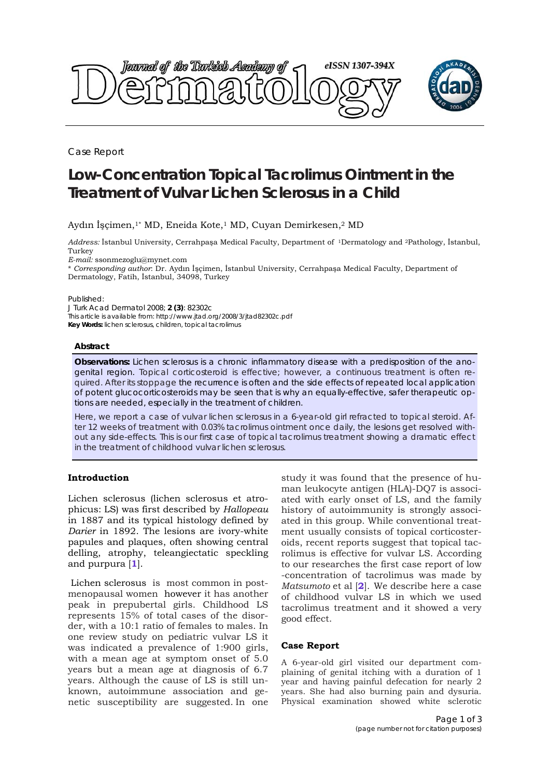

Case Report

# **Low-Concentration Topical Tacrolimus Ointment in the Treatment of Vulvar Lichen Sclerosus in a Child**

# Aydın İşçimen,<sup>1\*</sup> MD, Eneida Kote,<sup>1</sup> MD, Cuyan Demirkesen,<sup>2</sup> MD

*Address:* İstanbul University, Cerrahpaşa Medical Faculty, Department of 1Dermatology and 2Pathology, İstanbul, Turkey

*E-mail:* ssonmezoglu@mynet.com

\* *Corresponding author*: Dr. Aydın İşçimen, İstanbul University, Cerrahpaşa Medical Faculty, Department of Dermatology, Fatih, İstanbul, 34098, Turkey

Published:

*J Turk Acad Dermatol* 2008; **2 (3)**: 82302c This article is available from: http://www.jtad.org/2008/3/jtad82302c.pdf

**Key Words:** lichen sclerosus, children, topical tacrolimus

#### **Abstract**

**Observations:** Lichen sclerosus is a chronic inflammatory disease with a predisposition of the anogenital region. Topical corticosteroid is effective; however, a continuous treatment is often required. After its stoppage the recurrence is often and the side effects of repeated local application of potent glucocorticosteroids may be seen that is why an equally-effective, safer therapeutic options are needed, especially in the treatment of children.

Here, we report a case of vulvar lichen sclerosus in a 6-year-old girl refracted to topical steroid. After 12 weeks of treatment with 0.03% tacrolimus ointment once daily, the lesions get resolved without any side-effects. This is our first case of topical tacrolimus treatment showing a dramatic effect in the treatment of childhood vulvar lichen sclerosus.

## **Introduction**

Lichen sclerosus (lichen sclerosus et atrophicus: LS) was first described by *Hallopeau* in 1887 and its typical histology defined by *Darier* in 1892. The lesions are ivory-white papules and plaques, often showing central delling, atrophy, teleangiectatic speckling and purpura [**1**].

 Lichen sclerosus is most common in postmenopausal women however it has another peak in prepubertal girls. Childhood LS represents 15% of total cases of the disorder, with a 10:1 ratio of females to males. In one review study on pediatric vulvar LS it was indicated a prevalence of 1:900 girls, with a mean age at symptom onset of 5.0 years but a mean age at diagnosis of 6.7 years. Although the cause of LS is still unknown, autoimmune association and genetic susceptibility are suggested. In one

study it was found that the presence of human leukocyte antigen (HLA)-DQ7 is associated with early onset of LS, and the family history of autoimmunity is strongly associated in this group. While conventional treatment usually consists of topical corticosteroids, recent reports suggest that topical tacrolimus is effective for vulvar LS. According to our researches the first case report of low -concentration of tacrolimus was made by *Matsumoto* et al [**2**]. We describe here a case of childhood vulvar LS in which we used tacrolimus treatment and it showed a very good effect.

### **Case Report**

A 6-year-old girl visited our department complaining of genital itching with a duration of 1 year and having painful defecation for nearly 2 years. She had also burning pain and dysuria. Physical examination showed white sclerotic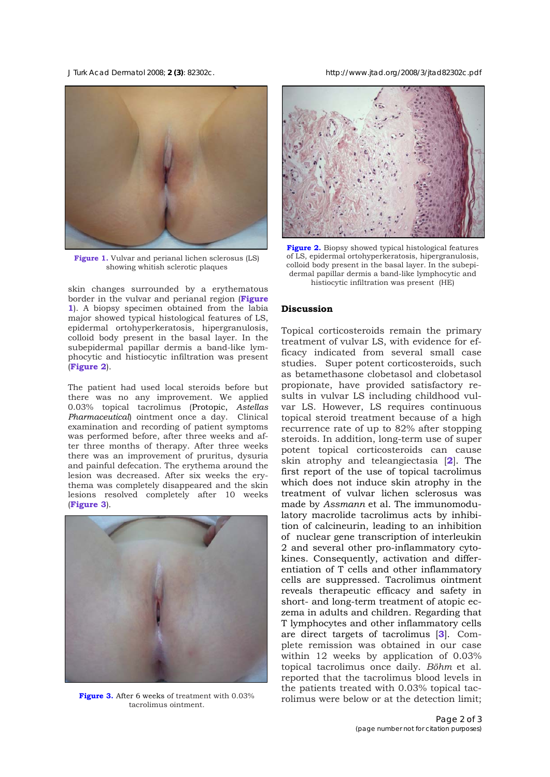*J Turk Acad Dermatol* 2008; **2 (3)**: 82302c. http://www.jtad.org/2008/3/jtad82302c.pdf



**Figure 1.** Vulvar and perianal lichen sclerosus (LS) showing whitish sclerotic plaques

skin changes surrounded by a erythematous border in the vulvar and perianal region (**Figure 1**). A biopsy specimen obtained from the labia major showed typical histological features of LS, epidermal ortohyperkeratosis, hipergranulosis, colloid body present in the basal layer. In the subepidermal papillar dermis a band-like lymphocytic and histiocytic infiltration was present (**Figure 2**).

The patient had used local steroids before but there was no any improvement. We applied 0.03% topical tacrolimus (Protopic, *Astellas Pharmaceutical*) ointment once a day. Clinical examination and recording of patient symptoms was performed before, after three weeks and after three months of therapy. After three weeks there was an improvement of pruritus, dysuria and painful defecation. The erythema around the lesion was decreased. After six weeks the erythema was completely disappeared and the skin lesions resolved completely after 10 weeks (**Figure 3**).



**Figure 3.** After 6 weeks of treatment with 0.03% tacrolimus ointment.



**Figure 2.** Biopsy showed typical histological features of LS, epidermal ortohyperkeratosis, hipergranulosis, colloid body present in the basal layer. In the subepidermal papillar dermis a band-like lymphocytic and histiocytic infiltration was present (HE)

## **Discussion**

Topical corticosteroids remain the primary treatment of vulvar LS, with evidence for efficacy indicated from several small case studies.Super potent corticosteroids, such as betamethasone clobetasol and clobetasol propionate, have provided satisfactory results in vulvar LS including childhood vulvar LS. However, LS requires continuous topical steroid treatment because of a high recurrence rate of up to 82% after stopping steroids. In addition, long-term use of super potent topical corticosteroids can cause skin atrophy and teleangiectasia [**2**]. The first report of the use of topical tacrolimus which does not induce skin atrophy in the treatment of vulvar lichen sclerosus was made by *Assmann* et al. The immunomodulatory macrolide tacrolimus acts by inhibition of calcineurin, leading to an inhibition of nuclear gene transcription of interleukin 2 and several other pro-inflammatory cytokines. Consequently, activation and differentiation of T cells and other inflammatory cells are suppressed. Tacrolimus ointment reveals therapeutic efficacy and safety in short- and long-term treatment of atopic eczema in adults and children. Regarding that T lymphocytes and other inflammatory cells are direct targets of tacrolimus [**3**]. Complete remission was obtained in our case within 12 weeks by application of 0.03% topical tacrolimus once daily. *Böhm* et al. reported that the tacrolimus blood levels in the patients treated with 0.03% topical tacrolimus were below or at the detection limit;